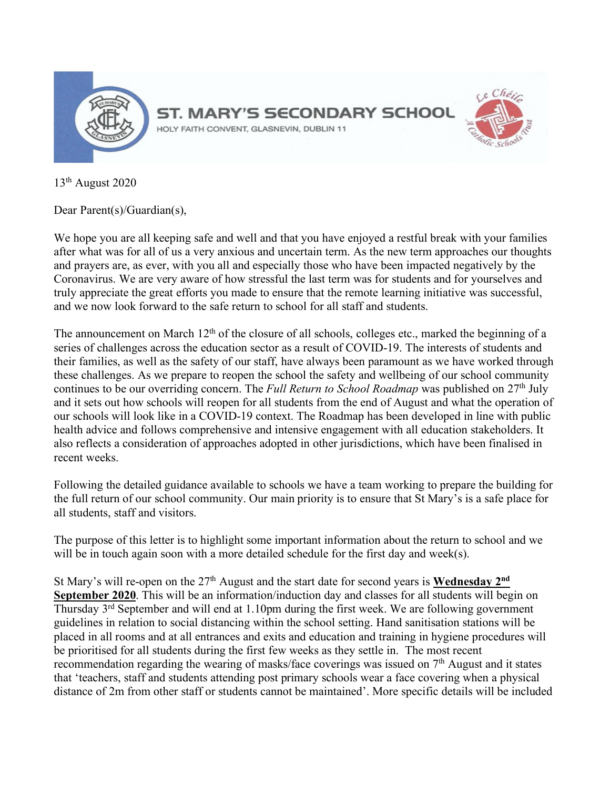

13th August 2020

Dear Parent(s)/Guardian(s),

We hope you are all keeping safe and well and that you have enjoyed a restful break with your families after what was for all of us a very anxious and uncertain term. As the new term approaches our thoughts and prayers are, as ever, with you all and especially those who have been impacted negatively by the Coronavirus. We are very aware of how stressful the last term was for students and for yourselves and truly appreciate the great efforts you made to ensure that the remote learning initiative was successful, and we now look forward to the safe return to school for all staff and students.

The announcement on March 12<sup>th</sup> of the closure of all schools, colleges etc., marked the beginning of a series of challenges across the education sector as a result of COVID-19. The interests of students and their families, as well as the safety of our staff, have always been paramount as we have worked through these challenges. As we prepare to reopen the school the safety and wellbeing of our school community continues to be our overriding concern. The *Full Return to School Roadmap* was published on 27<sup>th</sup> July and it sets out how schools will reopen for all students from the end of August and what the operation of our schools will look like in a COVID-19 context. The Roadmap has been developed in line with public health advice and follows comprehensive and intensive engagement with all education stakeholders. It also reflects a consideration of approaches adopted in other jurisdictions, which have been finalised in recent weeks.

Following the detailed guidance available to schools we have a team working to prepare the building for the full return of our school community. Our main priority is to ensure that St Mary's is a safe place for all students, staff and visitors.

The purpose of this letter is to highlight some important information about the return to school and we will be in touch again soon with a more detailed schedule for the first day and week(s).

St Mary's will re-open on the 27<sup>th</sup> August and the start date for second years is **Wednesday 2<sup>nd</sup> September 2020**. This will be an information/induction day and classes for all students will begin on Thursday 3rd September and will end at 1.10pm during the first week. We are following government guidelines in relation to social distancing within the school setting. Hand sanitisation stations will be placed in all rooms and at all entrances and exits and education and training in hygiene procedures will be prioritised for all students during the first few weeks as they settle in. The most recent recommendation regarding the wearing of masks/face coverings was issued on 7<sup>th</sup> August and it states that 'teachers, staff and students attending post primary schools wear a face covering when a physical distance of 2m from other staff or students cannot be maintained'. More specific details will be included